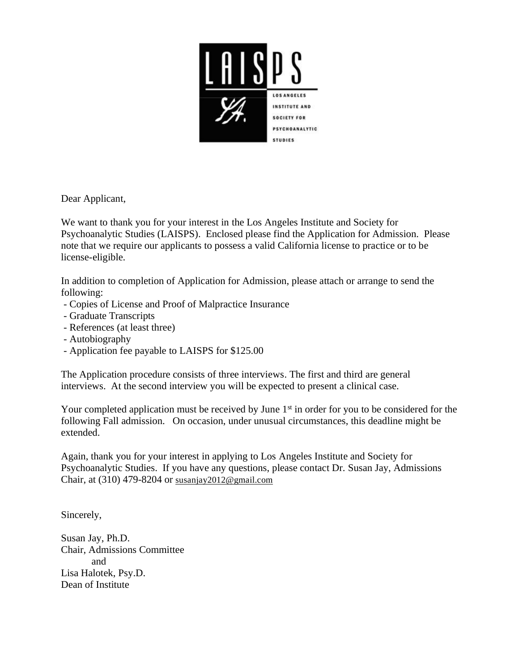

Dear Applicant,

We want to thank you for your interest in the Los Angeles Institute and Society for Psychoanalytic Studies (LAISPS). Enclosed please find the Application for Admission. Please note that we require our applicants to possess a valid California license to practice or to be license-eligible.

In addition to completion of Application for Admission, please attach or arrange to send the following:

- Copies of License and Proof of Malpractice Insurance
- Graduate Transcripts
- References (at least three)
- Autobiography
- Application fee payable to LAISPS for \$125.00

The Application procedure consists of three interviews. The first and third are general interviews. At the second interview you will be expected to present a clinical case.

Your completed application must be received by June 1<sup>st</sup> in order for you to be considered for the following Fall admission. On occasion, under unusual circumstances, this deadline might be extended.

Again, thank you for your interest in applying to Los Angeles Institute and Society for Psychoanalytic Studies. If you have any questions, please contact Dr. Susan Jay, Admissions Chair, at (310) 479-8204 or [susanjay2012@gmail.com](mailto:susanjay2012@gmail.com)

Sincerely,

Susan Jay, Ph.D. Chair, Admissions Committee and Lisa Halotek, Psy.D. Dean of Institute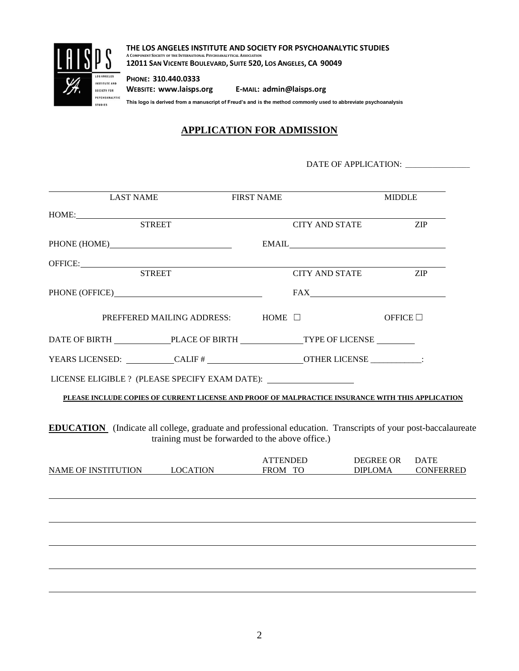

**THE LOS ANGELES INSTITUTE AND SOCIETY FOR PSYCHOANALYTIC STUDIES A COMPONENT SOCIETY OF THE INTERNATIONAL PSYCHOANALYTICAL ASSOCIATION 12011 SAN VICENTE BOULEVARD, SUITE 520, LOS ANGELES, CA 90049**

**PHONE: 310.440.0333 WEBSITE: www.laisps.org E-MAIL: admin@laisps.org**

**This logo is derived from a manuscript of Freud's and is the method commonly used to abbreviate psychoanalysis**

# **APPLICATION FOR ADMISSION**

DATE OF APPLICATION: \_\_\_\_\_\_\_\_\_\_\_\_\_\_\_\_\_\_\_

| <b>LAST NAME</b>                                                                                                                                                                                                                                                                                                                                                                                                         |                                                  | <b>FIRST NAME</b> |                                                                                                                                                                                                                                                                                                                                                                                                                                                                                           |                                    | <b>MIDDLE</b>                   |  |
|--------------------------------------------------------------------------------------------------------------------------------------------------------------------------------------------------------------------------------------------------------------------------------------------------------------------------------------------------------------------------------------------------------------------------|--------------------------------------------------|-------------------|-------------------------------------------------------------------------------------------------------------------------------------------------------------------------------------------------------------------------------------------------------------------------------------------------------------------------------------------------------------------------------------------------------------------------------------------------------------------------------------------|------------------------------------|---------------------------------|--|
| $HOME: \begin{tabular}{ c c c } \hline \multicolumn{3}{ c }{HOME:} \hline \multicolumn{3}{ c }{HOME:} \hline \multicolumn{3}{ c }{HOME:} \hline \multicolumn{3}{ c }{HOME:} \hline \multicolumn{3}{ c }{HOME:} \hline \multicolumn{3}{ c }{HOME:} \hline \multicolumn{3}{ c }{HOME:} \hline \multicolumn{3}{ c }{HOME:} \hline \multicolumn{3}{ c }{HOME:} \hline \multicolumn{3}{ c }{HOME:} \hline \multicolumn{3}{ c$ |                                                  |                   |                                                                                                                                                                                                                                                                                                                                                                                                                                                                                           |                                    |                                 |  |
| <b>STREET</b>                                                                                                                                                                                                                                                                                                                                                                                                            |                                                  |                   | <b>CITY AND STATE</b>                                                                                                                                                                                                                                                                                                                                                                                                                                                                     |                                    | <b>ZIP</b>                      |  |
|                                                                                                                                                                                                                                                                                                                                                                                                                          |                                                  |                   | $EMAIL \begin{tabular}{@{}c@{}} \hline \multicolumn{3}{c}{} & \multicolumn{3}{c}{} & \multicolumn{3}{c}{} \\ \multicolumn{3}{c}{} & \multicolumn{3}{c}{} & \multicolumn{3}{c}{} \\ \multicolumn{3}{c}{} & \multicolumn{3}{c}{} & \multicolumn{3}{c}{} \\ \multicolumn{3}{c}{} & \multicolumn{3}{c}{} & \multicolumn{3}{c}{} \\ \multicolumn{3}{c}{} & \multicolumn{3}{c}{} & \multicolumn{3}{c}{} \\ \multicolumn{3}{c}{} & \multicolumn{3}{c}{} & \multicolumn{3}{c}{} \\ \multicolumn{$ |                                    |                                 |  |
|                                                                                                                                                                                                                                                                                                                                                                                                                          |                                                  |                   |                                                                                                                                                                                                                                                                                                                                                                                                                                                                                           |                                    |                                 |  |
| OFFICE: STREET                                                                                                                                                                                                                                                                                                                                                                                                           |                                                  |                   | <b>CITY AND STATE</b>                                                                                                                                                                                                                                                                                                                                                                                                                                                                     |                                    | <b>ZIP</b>                      |  |
|                                                                                                                                                                                                                                                                                                                                                                                                                          |                                                  |                   | $\text{FAX}\underline{\hspace{2.5cm}}\underline{\hspace{2.5cm}}$                                                                                                                                                                                                                                                                                                                                                                                                                          |                                    |                                 |  |
|                                                                                                                                                                                                                                                                                                                                                                                                                          | PREFFERED MAILING ADDRESS: HOME □                |                   |                                                                                                                                                                                                                                                                                                                                                                                                                                                                                           | OFFICE $\square$                   |                                 |  |
| DATE OF BIRTH PLACE OF BIRTH TYPE OF LICENSE                                                                                                                                                                                                                                                                                                                                                                             |                                                  |                   |                                                                                                                                                                                                                                                                                                                                                                                                                                                                                           |                                    |                                 |  |
|                                                                                                                                                                                                                                                                                                                                                                                                                          |                                                  |                   |                                                                                                                                                                                                                                                                                                                                                                                                                                                                                           |                                    |                                 |  |
| LICENSE ELIGIBLE ? (PLEASE SPECIFY EXAM DATE): __________________________________                                                                                                                                                                                                                                                                                                                                        |                                                  |                   |                                                                                                                                                                                                                                                                                                                                                                                                                                                                                           |                                    |                                 |  |
| PLEASE INCLUDE COPIES OF CURRENT LICENSE AND PROOF OF MALPRACTICE INSURANCE WITH THIS APPLICATION                                                                                                                                                                                                                                                                                                                        |                                                  |                   |                                                                                                                                                                                                                                                                                                                                                                                                                                                                                           |                                    |                                 |  |
|                                                                                                                                                                                                                                                                                                                                                                                                                          |                                                  |                   |                                                                                                                                                                                                                                                                                                                                                                                                                                                                                           |                                    |                                 |  |
| <b>EDUCATION</b> (Indicate all college, graduate and professional education. Transcripts of your post-baccalaureate                                                                                                                                                                                                                                                                                                      |                                                  |                   |                                                                                                                                                                                                                                                                                                                                                                                                                                                                                           |                                    |                                 |  |
|                                                                                                                                                                                                                                                                                                                                                                                                                          | training must be forwarded to the above office.) |                   |                                                                                                                                                                                                                                                                                                                                                                                                                                                                                           |                                    |                                 |  |
| NAME OF INSTITUTION LOCATION                                                                                                                                                                                                                                                                                                                                                                                             |                                                  | <b>ATTENDED</b>   | FROM TO                                                                                                                                                                                                                                                                                                                                                                                                                                                                                   | <b>DEGREE OR</b><br><b>DIPLOMA</b> | <b>DATE</b><br><b>CONFERRED</b> |  |
|                                                                                                                                                                                                                                                                                                                                                                                                                          |                                                  |                   |                                                                                                                                                                                                                                                                                                                                                                                                                                                                                           |                                    |                                 |  |
|                                                                                                                                                                                                                                                                                                                                                                                                                          |                                                  |                   |                                                                                                                                                                                                                                                                                                                                                                                                                                                                                           |                                    |                                 |  |
|                                                                                                                                                                                                                                                                                                                                                                                                                          |                                                  |                   |                                                                                                                                                                                                                                                                                                                                                                                                                                                                                           |                                    |                                 |  |
|                                                                                                                                                                                                                                                                                                                                                                                                                          |                                                  |                   |                                                                                                                                                                                                                                                                                                                                                                                                                                                                                           |                                    |                                 |  |
|                                                                                                                                                                                                                                                                                                                                                                                                                          |                                                  |                   |                                                                                                                                                                                                                                                                                                                                                                                                                                                                                           |                                    |                                 |  |
|                                                                                                                                                                                                                                                                                                                                                                                                                          |                                                  |                   |                                                                                                                                                                                                                                                                                                                                                                                                                                                                                           |                                    |                                 |  |
|                                                                                                                                                                                                                                                                                                                                                                                                                          |                                                  |                   |                                                                                                                                                                                                                                                                                                                                                                                                                                                                                           |                                    |                                 |  |
|                                                                                                                                                                                                                                                                                                                                                                                                                          |                                                  |                   |                                                                                                                                                                                                                                                                                                                                                                                                                                                                                           |                                    |                                 |  |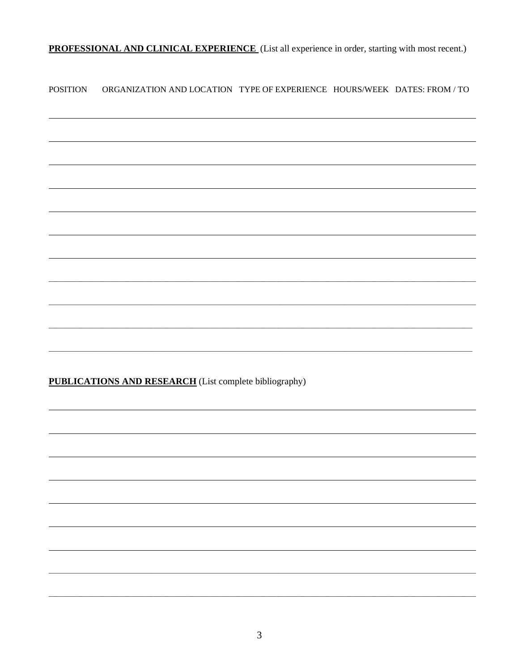PROFESSIONAL AND CLINICAL EXPERIENCE (List all experience in order, starting with most recent.)

**POSITION** ORGANIZATION AND LOCATION TYPE OF EXPERIENCE HOURS/WEEK DATES: FROM / TO

**PUBLICATIONS AND RESEARCH** (List complete bibliography)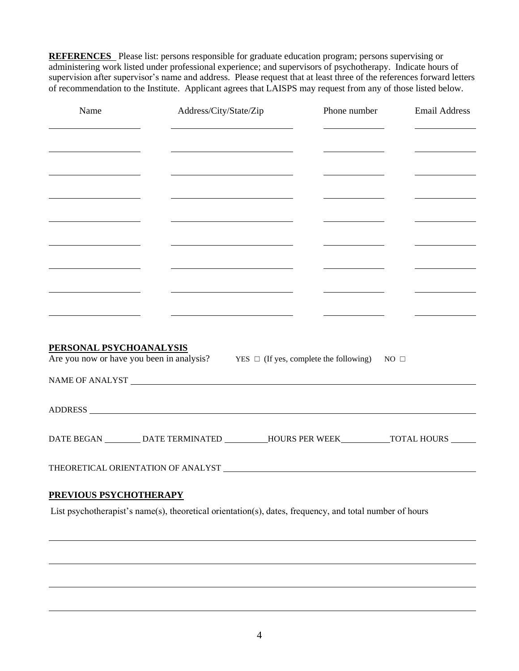**REFERENCES** Please list: persons responsible for graduate education program; persons supervising or administering work listed under professional experience; and supervisors of psychotherapy. Indicate hours of supervision after supervisor's name and address. Please request that at least three of the references forward letters of recommendation to the Institute. Applicant agrees that LAISPS may request from any of those listed below.

| Name                                         | Address/City/State/Zip                                                                                                |                                                                                                                     | Phone number | <b>Email Address</b> |  |
|----------------------------------------------|-----------------------------------------------------------------------------------------------------------------------|---------------------------------------------------------------------------------------------------------------------|--------------|----------------------|--|
|                                              |                                                                                                                       |                                                                                                                     |              |                      |  |
|                                              | <u> 1989 - Johann Barn, mars et al. 1989 - Anna ann an t-Anna ann an t-Anna ann an t-Anna ann an t-Anna ann an t-</u> | <u> 1980 - Jan James Barnett, politik eta politik eta politik eta politik eta politik eta politik eta politik e</u> |              |                      |  |
|                                              | <u> 1989 - Johann Barnett, fransk politik (d. 1989)</u>                                                               |                                                                                                                     |              |                      |  |
| <u> 1989 - Andrea Andrew Maria (b. 1989)</u> |                                                                                                                       | <u> 1989 - Johann Barnett, fransk kongresu</u>                                                                      |              |                      |  |
|                                              | <u> 1989 - Johann Barn, fransk politik (d. 1989)</u>                                                                  |                                                                                                                     |              |                      |  |
|                                              |                                                                                                                       |                                                                                                                     |              |                      |  |
|                                              | <u> 1980 - Johann Barn, mars eta bainar eta bainar eta baina eta baina eta baina eta baina eta baina eta baina e</u>  |                                                                                                                     |              |                      |  |
|                                              |                                                                                                                       |                                                                                                                     |              |                      |  |
|                                              |                                                                                                                       |                                                                                                                     |              |                      |  |
| PERSONAL PSYCHOANALYSIS                      |                                                                                                                       |                                                                                                                     |              |                      |  |
|                                              | Are you now or have you been in analysis? YES $\Box$ (If yes, complete the following)                                 |                                                                                                                     | $NO \Box$    |                      |  |
|                                              |                                                                                                                       |                                                                                                                     |              |                      |  |
|                                              |                                                                                                                       |                                                                                                                     |              |                      |  |
|                                              | DATE BEGAN __________ DATE TERMINATED ___________HOURS PER WEEK____________TOTAL HOURS _______                        |                                                                                                                     |              |                      |  |
|                                              |                                                                                                                       |                                                                                                                     |              |                      |  |
|                                              |                                                                                                                       |                                                                                                                     |              |                      |  |
| PREVIOUS PSYCHOTHERAPY                       |                                                                                                                       |                                                                                                                     |              |                      |  |
|                                              | List psychotherapist's name(s), theoretical orientation(s), dates, frequency, and total number of hours               |                                                                                                                     |              |                      |  |
|                                              |                                                                                                                       |                                                                                                                     |              |                      |  |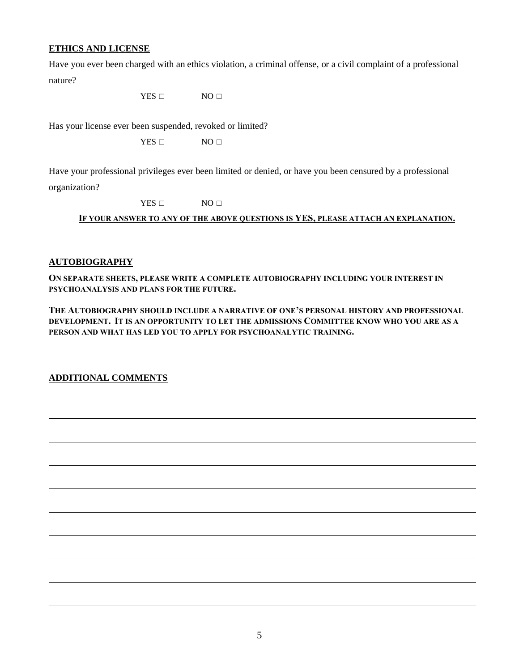#### **ETHICS AND LICENSE**

Have you ever been charged with an ethics violation, a criminal offense, or a civil complaint of a professional nature?

YES □ NO □

Has your license ever been suspended, revoked or limited?

 $YES \Box$  NO  $\Box$ 

Have your professional privileges ever been limited or denied, or have you been censured by a professional organization?

 $YES \Box$  NO  $\Box$ 

**IF YOUR ANSWER TO ANY OF THE ABOVE QUESTIONS IS YES, PLEASE ATTACH AN EXPLANATION.**

#### **AUTOBIOGRAPHY**

**ON SEPARATE SHEETS, PLEASE WRITE A COMPLETE AUTOBIOGRAPHY INCLUDING YOUR INTEREST IN PSYCHOANALYSIS AND PLANS FOR THE FUTURE.**

**THE AUTOBIOGRAPHY SHOULD INCLUDE A NARRATIVE OF ONE'S PERSONAL HISTORY AND PROFESSIONAL DEVELOPMENT. IT IS AN OPPORTUNITY TO LET THE ADMISSIONS COMMITTEE KNOW WHO YOU ARE AS A PERSON AND WHAT HAS LED YOU TO APPLY FOR PSYCHOANALYTIC TRAINING.**

**ADDITIONAL COMMENTS**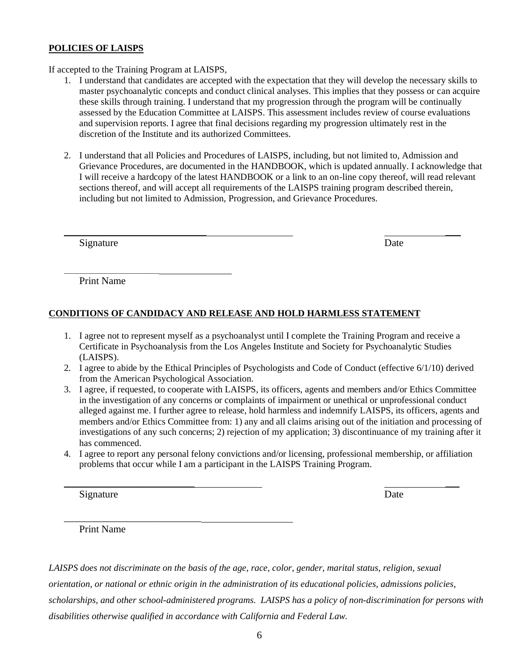#### **POLICIES OF LAISPS**

If accepted to the Training Program at LAISPS,

- 1. I understand that candidates are accepted with the expectation that they will develop the necessary skills to master psychoanalytic concepts and conduct clinical analyses. This implies that they possess or can acquire these skills through training. I understand that my progression through the program will be continually assessed by the Education Committee at LAISPS. This assessment includes review of course evaluations and supervision reports. I agree that final decisions regarding my progression ultimately rest in the discretion of the Institute and its authorized Committees.
- 2. I understand that all Policies and Procedures of LAISPS, including, but not limited to, Admission and Grievance Procedures, are documented in the HANDBOOK, which is updated annually. I acknowledge that I will receive a hardcopy of the latest HANDBOOK or a link to an on-line copy thereof, will read relevant sections thereof, and will accept all requirements of the LAISPS training program described therein, including but not limited to Admission, Progression, and Grievance Procedures.

\_\_\_\_\_\_\_\_\_\_\_\_\_\_\_\_\_\_\_\_\_\_\_\_\_\_\_\_ \_\_\_

Signature Date

Print Name

\_\_\_\_\_\_\_\_\_\_\_\_\_\_\_\_\_\_\_\_\_\_\_\_\_\_\_\_

### **CONDITIONS OF CANDIDACY AND RELEASE AND HOLD HARMLESS STATEMENT**

- 1. I agree not to represent myself as a psychoanalyst until I complete the Training Program and receive a Certificate in Psychoanalysis from the Los Angeles Institute and Society for Psychoanalytic Studies (LAISPS).
- 2. I agree to abide by the Ethical Principles of Psychologists and Code of Conduct (effective 6/1/10) derived from the American Psychological Association.
- 3. I agree, if requested, to cooperate with LAISPS, its officers, agents and members and/or Ethics Committee in the investigation of any concerns or complaints of impairment or unethical or unprofessional conduct alleged against me. I further agree to release, hold harmless and indemnify LAISPS, its officers, agents and members and/or Ethics Committee from: 1) any and all claims arising out of the initiation and processing of investigations of any such concerns; 2) rejection of my application; 3) discontinuance of my training after it has commenced.
- 4. I agree to report any personal felony convictions and/or licensing, professional membership, or affiliation problems that occur while I am a participant in the LAISPS Training Program.

 $\_$ 

Signature Date

Print Name

\_\_\_\_\_\_\_\_\_\_\_\_\_\_\_\_\_\_\_\_\_\_\_\_\_\_\_

*LAISPS does not discriminate on the basis of the age, race, color, gender, marital status, religion, sexual orientation, or national or ethnic origin in the administration of its educational policies, admissions policies, scholarships, and other school-administered programs. LAISPS has a policy of non-discrimination for persons with disabilities otherwise qualified in accordance with California and Federal Law.*